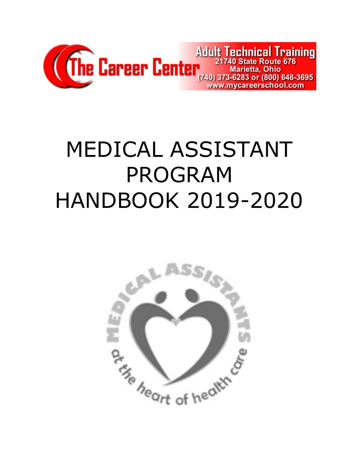

# MEDICAL ASSISTANT PROGRAM HANDBOOK 2019-2020

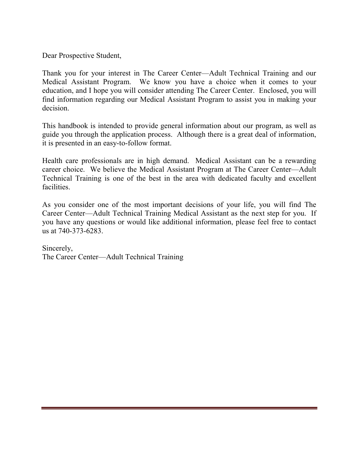Dear Prospective Student,

Thank you for your interest in The Career Center—Adult Technical Training and our Medical Assistant Program. We know you have a choice when it comes to your education, and I hope you will consider attending The Career Center. Enclosed, you will find information regarding our Medical Assistant Program to assist you in making your decision.

This handbook is intended to provide general information about our program, as well as guide you through the application process. Although there is a great deal of information, it is presented in an easy-to-follow format.

Health care professionals are in high demand. Medical Assistant can be a rewarding career choice. We believe the Medical Assistant Program at The Career Center—Adult Technical Training is one of the best in the area with dedicated faculty and excellent facilities.

As you consider one of the most important decisions of your life, you will find The Career Center—Adult Technical Training Medical Assistant as the next step for you. If you have any questions or would like additional information, please feel free to contact us at 740-373-6283.

Sincerely, The Career Center—Adult Technical Training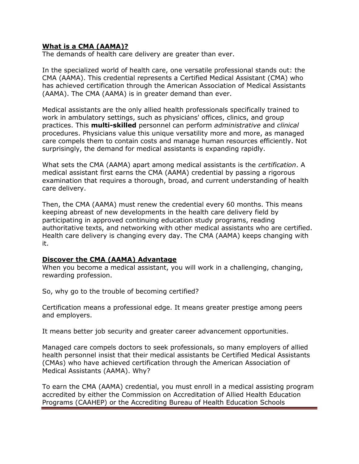#### What is a CMA (AAMA)?

The demands of health care delivery are greater than ever.

In the specialized world of health care, one versatile professional stands out: the CMA (AAMA). This credential represents a Certified Medical Assistant (CMA) who has achieved certification through the American Association of Medical Assistants (AAMA). The CMA (AAMA) is in greater demand than ever.

Medical assistants are the only allied health professionals specifically trained to work in ambulatory settings, such as physicians' offices, clinics, and group practices. This **multi-skilled** personnel can perform administrative and clinical procedures. Physicians value this unique versatility more and more, as managed care compels them to contain costs and manage human resources efficiently. Not surprisingly, the demand for medical assistants is expanding rapidly.

What sets the CMA (AAMA) apart among medical assistants is the *certification*. A medical assistant first earns the CMA (AAMA) credential by passing a rigorous examination that requires a thorough, broad, and current understanding of health care delivery.

Then, the CMA (AAMA) must renew the credential every 60 months. This means keeping abreast of new developments in the health care delivery field by participating in approved continuing education study programs, reading authoritative texts, and networking with other medical assistants who are certified. Health care delivery is changing every day. The CMA (AAMA) keeps changing with it.

#### Discover the CMA (AAMA) Advantage

When you become a medical assistant, you will work in a challenging, changing, rewarding profession.

So, why go to the trouble of becoming certified?

Certification means a professional edge. It means greater prestige among peers and employers.

It means better job security and greater career advancement opportunities.

Managed care compels doctors to seek professionals, so many employers of allied health personnel insist that their medical assistants be Certified Medical Assistants (CMAs) who have achieved certification through the American Association of Medical Assistants (AAMA). Why?

To earn the CMA (AAMA) credential, you must enroll in a medical assisting program accredited by either the Commission on Accreditation of Allied Health Education Programs (CAAHEP) or the Accrediting Bureau of Health Education Schools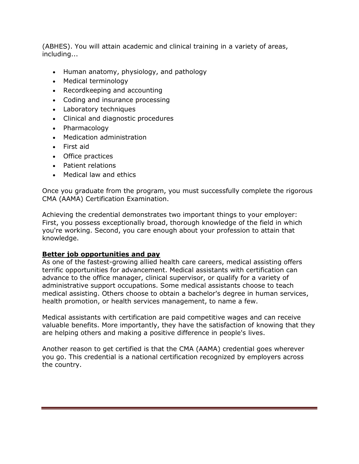(ABHES). You will attain academic and clinical training in a variety of areas, including...

- Human anatomy, physiology, and pathology
- Medical terminology
- Recordkeeping and accounting
- Coding and insurance processing
- Laboratory techniques
- Clinical and diagnostic procedures
- Pharmacology
- Medication administration
- First aid
- Office practices
- Patient relations
- Medical law and ethics

Once you graduate from the program, you must successfully complete the rigorous CMA (AAMA) Certification Examination.

Achieving the credential demonstrates two important things to your employer: First, you possess exceptionally broad, thorough knowledge of the field in which you're working. Second, you care enough about your profession to attain that knowledge.

#### Better job opportunities and pay

As one of the fastest-growing allied health care careers, medical assisting offers terrific opportunities for advancement. Medical assistants with certification can advance to the office manager, clinical supervisor, or qualify for a variety of administrative support occupations. Some medical assistants choose to teach medical assisting. Others choose to obtain a bachelor's degree in human services, health promotion, or health services management, to name a few.

Medical assistants with certification are paid competitive wages and can receive valuable benefits. More importantly, they have the satisfaction of knowing that they are helping others and making a positive difference in people's lives.

Another reason to get certified is that the CMA (AAMA) credential goes wherever you go. This credential is a national certification recognized by employers across the country.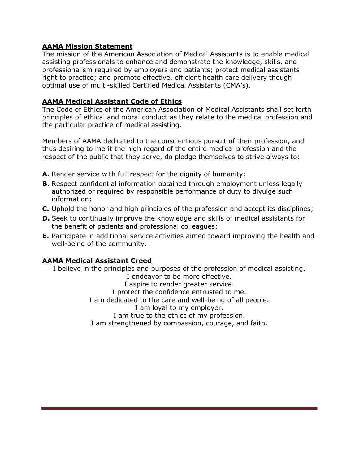#### AAMA Mission Statement

The mission of the American Association of Medical Assistants is to enable medical assisting professionals to enhance and demonstrate the knowledge, skills, and professionalism required by employers and patients; protect medical assistants right to practice; and promote effective, efficient health care delivery though optimal use of multi-skilled Certified Medical Assistants (CMA's).

#### AAMA Medical Assistant Code of Ethics

The Code of Ethics of the American Association of Medical Assistants shall set forth principles of ethical and moral conduct as they relate to the medical profession and the particular practice of medical assisting.

Members of AAMA dedicated to the conscientious pursuit of their profession, and thus desiring to merit the high regard of the entire medical profession and the respect of the public that they serve, do pledge themselves to strive always to:

- A. Render service with full respect for the dignity of humanity;
- **B.** Respect confidential information obtained through employment unless legally authorized or required by responsible performance of duty to divulge such information;
- C. Uphold the honor and high principles of the profession and accept its disciplines;
- D. Seek to continually improve the knowledge and skills of medical assistants for the benefit of patients and professional colleagues;
- E. Participate in additional service activities aimed toward improving the health and well-being of the community.

#### AAMA Medical Assistant Creed

I believe in the principles and purposes of the profession of medical assisting.

I endeavor to be more effective. I aspire to render greater service. I protect the confidence entrusted to me. I am dedicated to the care and well-being of all people. I am loyal to my employer. I am true to the ethics of my profession. I am strengthened by compassion, courage, and faith.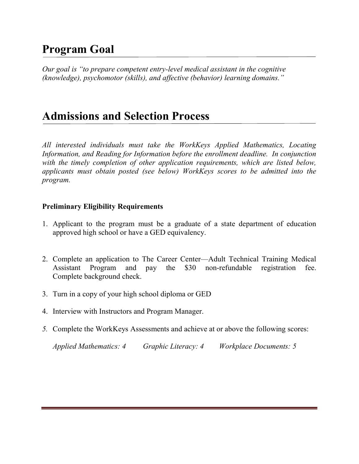# Program Goal

Ξ

Our goal is "to prepare competent entry-level medical assistant in the cognitive (knowledge), psychomotor (skills), and affective (behavior) learning domains."

# Admissions and Selection Process

All interested individuals must take the WorkKeys Applied Mathematics, Locating Information, and Reading for Information before the enrollment deadline. In conjunction with the timely completion of other application requirements, which are listed below, applicants must obtain posted (see below) WorkKeys scores to be admitted into the program.

## Preliminary Eligibility Requirements

- 1. Applicant to the program must be a graduate of a state department of education approved high school or have a GED equivalency.
- 2. Complete an application to The Career Center—Adult Technical Training Medical Assistant Program and pay the \$30 non-refundable registration fee. Complete background check.
- 3. Turn in a copy of your high school diploma or GED
- 4. Interview with Instructors and Program Manager.
- 5. Complete the WorkKeys Assessments and achieve at or above the following scores:

Applied Mathematics: 4 Graphic Literacy: 4 Workplace Documents: 5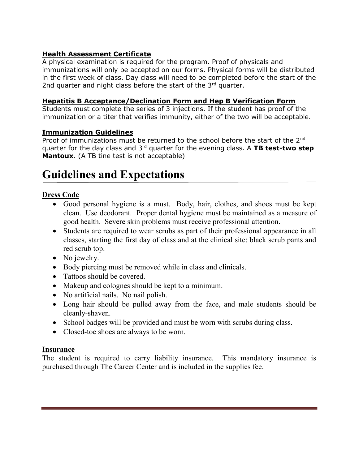## Health Assessment Certificate

A physical examination is required for the program. Proof of physicals and immunizations will only be accepted on our forms. Physical forms will be distributed in the first week of class. Day class will need to be completed before the start of the 2nd quarter and night class before the start of the  $3<sup>rd</sup>$  quarter.

#### Hepatitis B Acceptance/Declination Form and Hep B Verification Form

Students must complete the series of 3 injections. If the student has proof of the immunization or a titer that verifies immunity, either of the two will be acceptable.

## Immunization Guidelines

Proof of immunizations must be returned to the school before the start of the 2<sup>nd</sup> quarter for the day class and  $3<sup>rd</sup>$  quarter for the evening class. A TB test-two step **Mantoux.** (A TB tine test is not acceptable)

# Guidelines and Expectations

# Dress Code

Ξ

- Good personal hygiene is a must. Body, hair, clothes, and shoes must be kept clean. Use deodorant. Proper dental hygiene must be maintained as a measure of good health. Severe skin problems must receive professional attention.
- Students are required to wear scrubs as part of their professional appearance in all classes, starting the first day of class and at the clinical site: black scrub pants and red scrub top.
- No jewelry.
- Body piercing must be removed while in class and clinicals.
- Tattoos should be covered.
- Makeup and colognes should be kept to a minimum.
- No artificial nails. No nail polish.
- Long hair should be pulled away from the face, and male students should be cleanly-shaven.
- School badges will be provided and must be worn with scrubs during class.
- Closed-toe shoes are always to be worn.

# Insurance

The student is required to carry liability insurance. This mandatory insurance is purchased through The Career Center and is included in the supplies fee.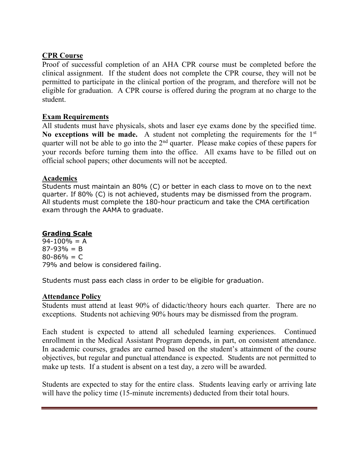# CPR Course

Proof of successful completion of an AHA CPR course must be completed before the clinical assignment. If the student does not complete the CPR course, they will not be permitted to participate in the clinical portion of the program, and therefore will not be eligible for graduation. A CPR course is offered during the program at no charge to the student.

#### Exam Requirements

All students must have physicals, shots and laser eye exams done by the specified time. No exceptions will be made. A student not completing the requirements for the  $1<sup>st</sup>$ quarter will not be able to go into the  $2<sup>nd</sup>$  quarter. Please make copies of these papers for your records before turning them into the office. All exams have to be filled out on official school papers; other documents will not be accepted.

#### Academics

Students must maintain an 80% (C) or better in each class to move on to the next quarter. If 80% (C) is not achieved, students may be dismissed from the program. All students must complete the 180-hour practicum and take the CMA certification exam through the AAMA to graduate.

#### Grading Scale

 $94-100% = A$  $87-93% = B$  $80 - 86\% = C$ 79% and below is considered failing.

Students must pass each class in order to be eligible for graduation.

#### Attendance Policy

Students must attend at least 90% of didactic/theory hours each quarter. There are no exceptions. Students not achieving 90% hours may be dismissed from the program.

Each student is expected to attend all scheduled learning experiences. Continued enrollment in the Medical Assistant Program depends, in part, on consistent attendance. In academic courses, grades are earned based on the student's attainment of the course objectives, but regular and punctual attendance is expected. Students are not permitted to make up tests. If a student is absent on a test day, a zero will be awarded.

Students are expected to stay for the entire class. Students leaving early or arriving late will have the policy time (15-minute increments) deducted from their total hours.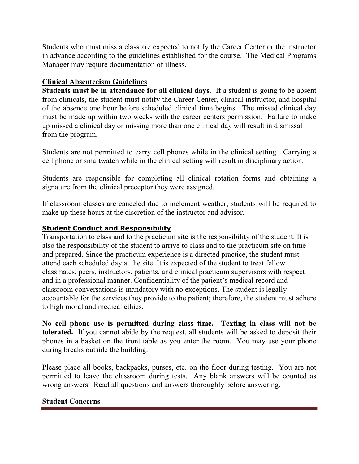Students who must miss a class are expected to notify the Career Center or the instructor in advance according to the guidelines established for the course. The Medical Programs Manager may require documentation of illness.

# Clinical Absenteeism Guidelines

Students must be in attendance for all clinical days. If a student is going to be absent from clinicals, the student must notify the Career Center, clinical instructor, and hospital of the absence one hour before scheduled clinical time begins. The missed clinical day must be made up within two weeks with the career centers permission. Failure to make up missed a clinical day or missing more than one clinical day will result in dismissal from the program.

Students are not permitted to carry cell phones while in the clinical setting. Carrying a cell phone or smartwatch while in the clinical setting will result in disciplinary action.

Students are responsible for completing all clinical rotation forms and obtaining a signature from the clinical preceptor they were assigned.

If classroom classes are canceled due to inclement weather, students will be required to make up these hours at the discretion of the instructor and advisor.

#### Student Conduct and Responsibility

Transportation to class and to the practicum site is the responsibility of the student. It is also the responsibility of the student to arrive to class and to the practicum site on time and prepared. Since the practicum experience is a directed practice, the student must attend each scheduled day at the site. It is expected of the student to treat fellow classmates, peers, instructors, patients, and clinical practicum supervisors with respect and in a professional manner. Confidentiality of the patient's medical record and classroom conversations is mandatory with no exceptions. The student is legally accountable for the services they provide to the patient; therefore, the student must adhere to high moral and medical ethics.

No cell phone use is permitted during class time. Texting in class will not be tolerated. If you cannot abide by the request, all students will be asked to deposit their phones in a basket on the front table as you enter the room. You may use your phone during breaks outside the building.

Please place all books, backpacks, purses, etc. on the floor during testing. You are not permitted to leave the classroom during tests. Any blank answers will be counted as wrong answers. Read all questions and answers thoroughly before answering.

#### Student Concerns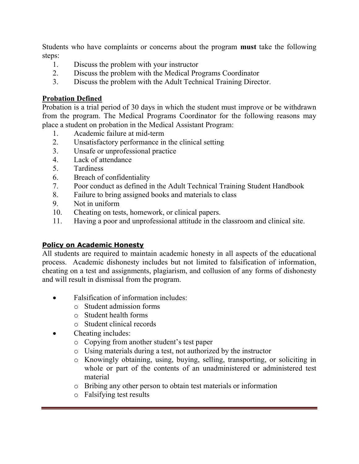Students who have complaints or concerns about the program must take the following steps:

- 1. Discuss the problem with your instructor
- 2. Discuss the problem with the Medical Programs Coordinator
- 3. Discuss the problem with the Adult Technical Training Director.

# Probation Defined

Probation is a trial period of 30 days in which the student must improve or be withdrawn from the program. The Medical Programs Coordinator for the following reasons may place a student on probation in the Medical Assistant Program:

- 1. Academic failure at mid-term
- 2. Unsatisfactory performance in the clinical setting
- 3. Unsafe or unprofessional practice
- 4. Lack of attendance
- 5. Tardiness
- 6. Breach of confidentiality
- 7. Poor conduct as defined in the Adult Technical Training Student Handbook
- 8. Failure to bring assigned books and materials to class
- 9. Not in uniform
- 10. Cheating on tests, homework, or clinical papers.
- 11. Having a poor and unprofessional attitude in the classroom and clinical site.

# Policy on Academic Honesty

All students are required to maintain academic honesty in all aspects of the educational process. Academic dishonesty includes but not limited to falsification of information, cheating on a test and assignments, plagiarism, and collusion of any forms of dishonesty and will result in dismissal from the program.

- Falsification of information includes:
	- o Student admission forms
	- o Student health forms
	- o Student clinical records
- Cheating includes:
	- o Copying from another student's test paper
	- o Using materials during a test, not authorized by the instructor
	- o Knowingly obtaining, using, buying, selling, transporting, or soliciting in whole or part of the contents of an unadministered or administered test material
	- o Bribing any other person to obtain test materials or information
	- o Falsifying test results